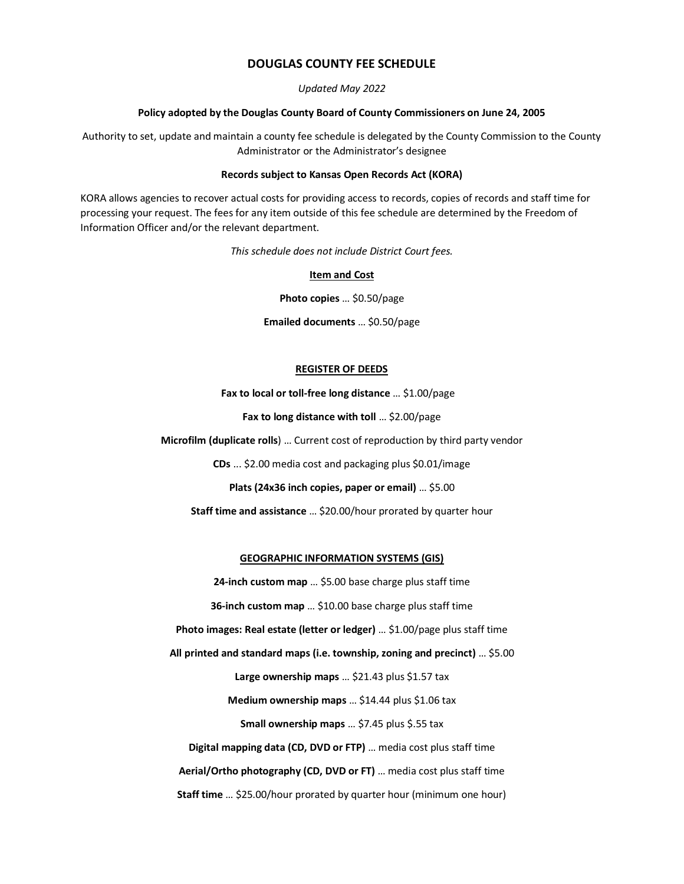### **DOUGLAS COUNTY FEE SCHEDULE**

#### *Updated May 2022*

#### **Policy adopted by the Douglas County Board of County Commissioners on June 24, 2005**

Authority to set, update and maintain a county fee schedule is delegated by the County Commission to the County Administrator or the Administrator's designee

#### **Records subject to Kansas Open Records Act (KORA)**

KORA allows agencies to recover actual costs for providing access to records, copies of records and staff time for processing your request. The fees for any item outside of this fee schedule are determined by the Freedom of Information Officer and/or the relevant department.

*This schedule does not include District Court fees.*

### **Item and Cost**

**Photo copies** … \$0.50/page

**Emailed documents** … \$0.50/page

#### **REGISTER OF DEEDS**

**Fax to local or toll-free long distance** … \$1.00/page

**Fax to long distance with toll** … \$2.00/page

**Microfilm (duplicate rolls**) … Current cost of reproduction by third party vendor

**CDs** ... \$2.00 media cost and packaging plus \$0.01/image

**Plats (24x36 inch copies, paper or email)** … \$5.00

**Staff time and assistance** … \$20.00/hour prorated by quarter hour

#### **GEOGRAPHIC INFORMATION SYSTEMS (GIS)**

**24-inch custom map** … \$5.00 base charge plus staff time **36-inch custom map** … \$10.00 base charge plus staff time **Photo images: Real estate (letter or ledger)** … \$1.00/page plus staff time **All printed and standard maps (i.e. township, zoning and precinct)** … \$5.00 **Large ownership maps** … \$21.43 plus \$1.57 tax **Medium ownership maps** … \$14.44 plus \$1.06 tax **Small ownership maps** … \$7.45 plus \$.55 tax **Digital mapping data (CD, DVD or FTP)** … media cost plus staff time **Aerial/Ortho photography (CD, DVD or FT)** … media cost plus staff time **Staff time** … \$25.00/hour prorated by quarter hour (minimum one hour)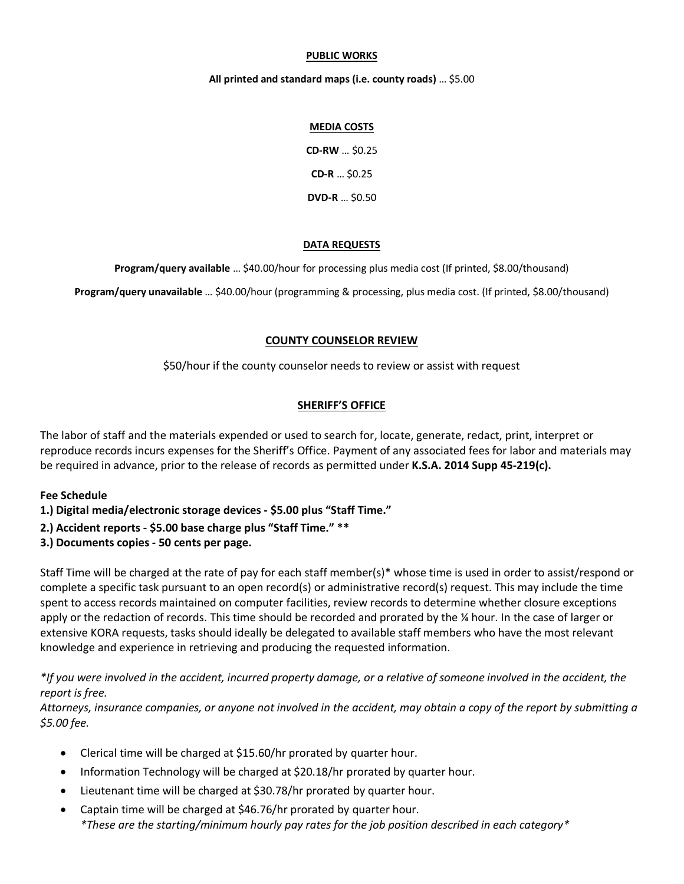### **PUBLIC WORKS**

### **All printed and standard maps (i.e. county roads)** … \$5.00

### **MEDIA COSTS**

**CD-RW** … \$0.25 **CD-R** … \$0.25 **DVD-R** … \$0.50

### **DATA REQUESTS**

**Program/query available** … \$40.00/hour for processing plus media cost (If printed, \$8.00/thousand)

**Program/query unavailable** … \$40.00/hour (programming & processing, plus media cost. (If printed, \$8.00/thousand)

# **COUNTY COUNSELOR REVIEW**

\$50/hour if the county counselor needs to review or assist with request

# **SHERIFF'S OFFICE**

The labor of staff and the materials expended or used to search for, locate, generate, redact, print, interpret or reproduce records incurs expenses for the Sheriff's Office. Payment of any associated fees for labor and materials may be required in advance, prior to the release of records as permitted under **K.S.A. 2014 Supp 45-219(c).**

# **Fee Schedule**

- **1.) Digital media/electronic storage devices - \$5.00 plus "Staff Time."**
- **2.) Accident reports - \$5.00 base charge plus "Staff Time." \*\***
- **3.) Documents copies - 50 cents per page.**

Staff Time will be charged at the rate of pay for each staff member(s)\* whose time is used in order to assist/respond or complete a specific task pursuant to an open record(s) or administrative record(s) request. This may include the time spent to access records maintained on computer facilities, review records to determine whether closure exceptions apply or the redaction of records. This time should be recorded and prorated by the ¼ hour. In the case of larger or extensive KORA requests, tasks should ideally be delegated to available staff members who have the most relevant knowledge and experience in retrieving and producing the requested information.

\*If you were involved in the accident, incurred property damage, or a relative of someone involved in the accident, the *report is free.*

Attorneys, insurance companies, or anyone not involved in the accident, may obtain a copy of the report by submitting a *\$5.00 fee.*

- Clerical time will be charged at \$15.60/hr prorated by quarter hour.
- Information Technology will be charged at \$20.18/hr prorated by quarter hour.
- Lieutenant time will be charged at \$30.78/hr prorated by quarter hour.
- Captain time will be charged at \$46.76/hr prorated by quarter hour. *\*These are the starting/minimum hourly pay rates for the job position described in each category\**